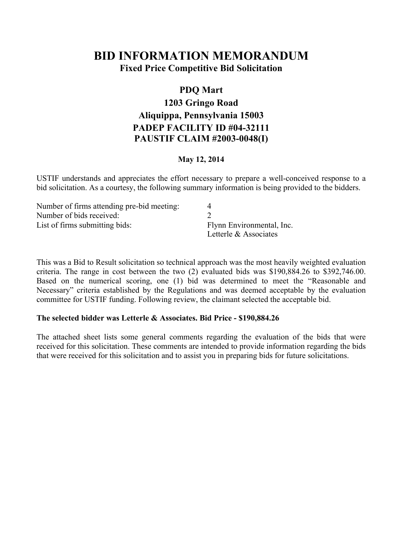# **BID INFORMATION MEMORANDUM**

**Fixed Price Competitive Bid Solicitation**

## **PDQ Mart 1203 Gringo Road Aliquippa, Pennsylvania 15003 PADEP FACILITY ID #04-32111 PAUSTIF CLAIM #2003-0048(I)**

#### **May 12, 2014**

USTIF understands and appreciates the effort necessary to prepare a well-conceived response to a bid solicitation. As a courtesy, the following summary information is being provided to the bidders.

| Number of firms attending pre-bid meeting: |                           |
|--------------------------------------------|---------------------------|
| Number of bids received:                   |                           |
| List of firms submitting bids:             | Flynn Environmental, Inc. |
|                                            | Letterle & Associates     |

This was a Bid to Result solicitation so technical approach was the most heavily weighted evaluation criteria. The range in cost between the two (2) evaluated bids was \$190,884.26 to \$392,746.00. Based on the numerical scoring, one (1) bid was determined to meet the "Reasonable and Necessary" criteria established by the Regulations and was deemed acceptable by the evaluation committee for USTIF funding. Following review, the claimant selected the acceptable bid.

#### **The selected bidder was Letterle & Associates. Bid Price - \$190,884.26**

The attached sheet lists some general comments regarding the evaluation of the bids that were received for this solicitation. These comments are intended to provide information regarding the bids that were received for this solicitation and to assist you in preparing bids for future solicitations.